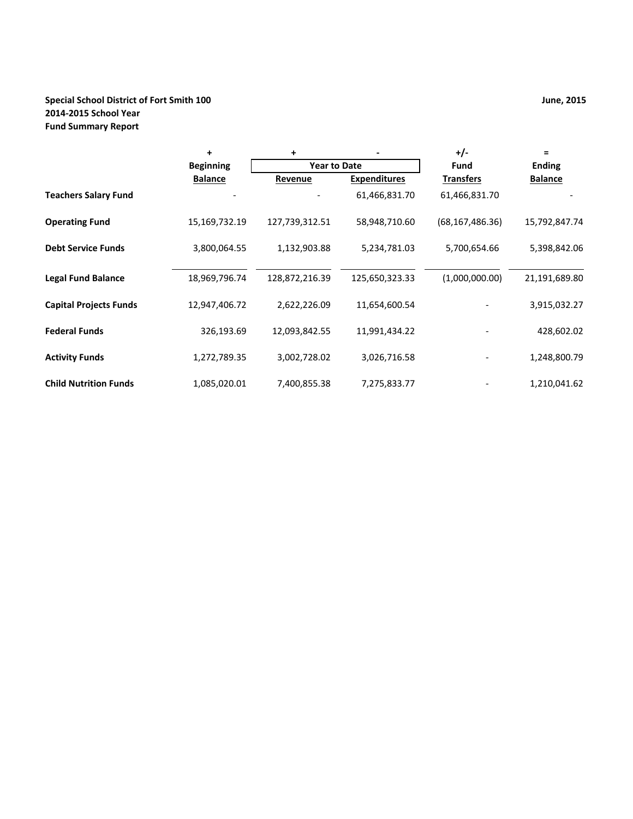# **Special School District of Fort Smith 100 2014‐2015 School Year Fund Summary Report**

|                               | $\ddot{}$        | +              |                     | $+/-$             | $\equiv$       |  |
|-------------------------------|------------------|----------------|---------------------|-------------------|----------------|--|
|                               | <b>Beginning</b> |                | <b>Year to Date</b> |                   | <b>Ending</b>  |  |
|                               | <b>Balance</b>   | Revenue        | <b>Expenditures</b> | <b>Transfers</b>  | <b>Balance</b> |  |
| <b>Teachers Salary Fund</b>   |                  |                | 61,466,831.70       | 61,466,831.70     |                |  |
| <b>Operating Fund</b>         | 15,169,732.19    | 127,739,312.51 | 58,948,710.60       | (68, 167, 486.36) | 15,792,847.74  |  |
| <b>Debt Service Funds</b>     | 3,800,064.55     | 1,132,903.88   | 5,234,781.03        | 5,700,654.66      | 5,398,842.06   |  |
| <b>Legal Fund Balance</b>     | 18,969,796.74    | 128,872,216.39 | 125,650,323.33      | (1,000,000.00)    | 21,191,689.80  |  |
| <b>Capital Projects Funds</b> | 12,947,406.72    | 2,622,226.09   | 11,654,600.54       |                   | 3,915,032.27   |  |
| <b>Federal Funds</b>          | 326,193.69       | 12,093,842.55  | 11,991,434.22       |                   | 428,602.02     |  |
| <b>Activity Funds</b>         | 1,272,789.35     | 3,002,728.02   | 3,026,716.58        |                   | 1,248,800.79   |  |
| <b>Child Nutrition Funds</b>  | 1,085,020.01     | 7,400,855.38   | 7,275,833.77        |                   | 1,210,041.62   |  |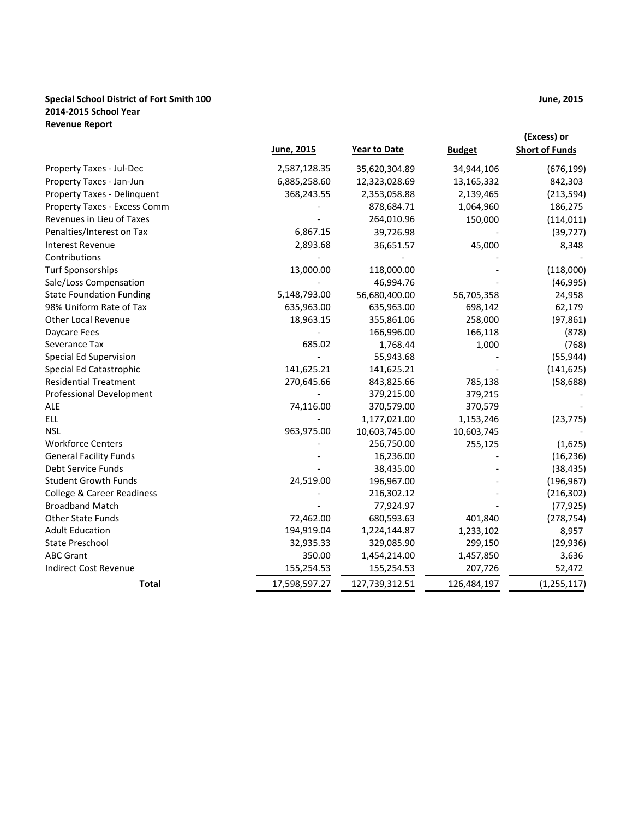### **Special School District of Fort Smith 100 2014‐2015 School Year Revenue Report**

|                                       | June, 2015    | <b>Year to Date</b> | <b>Budget</b> | (Excess) or<br><b>Short of Funds</b> |
|---------------------------------------|---------------|---------------------|---------------|--------------------------------------|
| Property Taxes - Jul-Dec              | 2,587,128.35  | 35,620,304.89       | 34,944,106    | (676, 199)                           |
| Property Taxes - Jan-Jun              | 6,885,258.60  | 12,323,028.69       | 13,165,332    | 842,303                              |
| Property Taxes - Delinquent           | 368,243.55    | 2,353,058.88        | 2,139,465     | (213, 594)                           |
| Property Taxes - Excess Comm          |               | 878,684.71          | 1,064,960     | 186,275                              |
| Revenues in Lieu of Taxes             |               | 264,010.96          | 150,000       | (114, 011)                           |
| Penalties/Interest on Tax             | 6,867.15      | 39,726.98           |               | (39, 727)                            |
| <b>Interest Revenue</b>               | 2,893.68      | 36,651.57           | 45,000        | 8,348                                |
| Contributions                         |               |                     |               |                                      |
| <b>Turf Sponsorships</b>              | 13,000.00     | 118,000.00          |               | (118,000)                            |
| Sale/Loss Compensation                |               | 46,994.76           |               | (46,995)                             |
| <b>State Foundation Funding</b>       | 5,148,793.00  | 56,680,400.00       | 56,705,358    | 24,958                               |
| 98% Uniform Rate of Tax               | 635,963.00    | 635,963.00          | 698,142       | 62,179                               |
| <b>Other Local Revenue</b>            | 18,963.15     | 355,861.06          | 258,000       | (97, 861)                            |
| Daycare Fees                          |               | 166,996.00          | 166,118       | (878)                                |
| Severance Tax                         | 685.02        | 1,768.44            | 1,000         | (768)                                |
| Special Ed Supervision                |               | 55,943.68           |               | (55, 944)                            |
| Special Ed Catastrophic               | 141,625.21    | 141,625.21          |               | (141, 625)                           |
| <b>Residential Treatment</b>          | 270,645.66    | 843,825.66          | 785,138       | (58, 688)                            |
| <b>Professional Development</b>       |               | 379,215.00          | 379,215       |                                      |
| <b>ALE</b>                            | 74,116.00     | 370,579.00          | 370,579       |                                      |
| <b>ELL</b>                            |               | 1,177,021.00        | 1,153,246     | (23, 775)                            |
| <b>NSL</b>                            | 963,975.00    | 10,603,745.00       | 10,603,745    |                                      |
| <b>Workforce Centers</b>              |               | 256,750.00          | 255,125       | (1,625)                              |
| <b>General Facility Funds</b>         |               | 16,236.00           |               | (16, 236)                            |
| Debt Service Funds                    |               | 38,435.00           |               | (38, 435)                            |
| <b>Student Growth Funds</b>           | 24,519.00     | 196,967.00          |               | (196, 967)                           |
| <b>College &amp; Career Readiness</b> |               | 216,302.12          |               | (216, 302)                           |
| <b>Broadband Match</b>                |               | 77,924.97           |               | (77, 925)                            |
| Other State Funds                     | 72,462.00     | 680,593.63          | 401,840       | (278, 754)                           |
| <b>Adult Education</b>                | 194,919.04    | 1,224,144.87        | 1,233,102     | 8,957                                |
| <b>State Preschool</b>                | 32,935.33     | 329,085.90          | 299,150       | (29, 936)                            |
| <b>ABC Grant</b>                      | 350.00        | 1,454,214.00        | 1,457,850     | 3,636                                |
| <b>Indirect Cost Revenue</b>          | 155,254.53    | 155,254.53          | 207,726       | 52,472                               |
| Total                                 | 17,598,597.27 | 127,739,312.51      | 126,484,197   | (1, 255, 117)                        |

**June, 2015**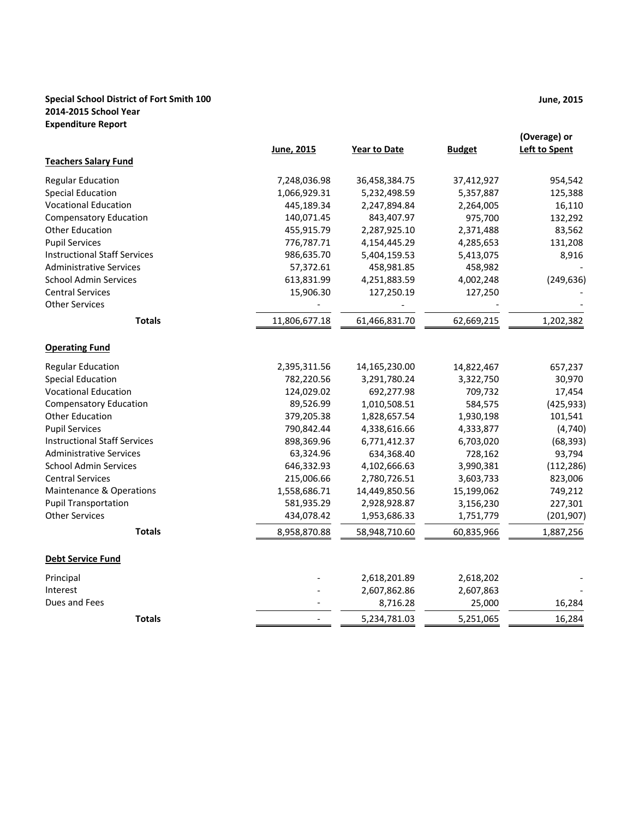## **Special School District of Fort Smith 100 2014‐2015 School Year Expenditure Report**

|                                     | June, 2015    | Year to Date  | <b>Budget</b> | (Overage) or<br><b>Left to Spent</b> |
|-------------------------------------|---------------|---------------|---------------|--------------------------------------|
| <b>Teachers Salary Fund</b>         |               |               |               |                                      |
| <b>Regular Education</b>            | 7,248,036.98  | 36,458,384.75 | 37,412,927    | 954,542                              |
| <b>Special Education</b>            | 1,066,929.31  | 5,232,498.59  | 5,357,887     | 125,388                              |
| <b>Vocational Education</b>         | 445,189.34    | 2,247,894.84  | 2,264,005     | 16,110                               |
| <b>Compensatory Education</b>       | 140,071.45    | 843,407.97    | 975,700       | 132,292                              |
| <b>Other Education</b>              | 455,915.79    | 2,287,925.10  | 2,371,488     | 83,562                               |
| <b>Pupil Services</b>               | 776,787.71    | 4,154,445.29  | 4,285,653     | 131,208                              |
| <b>Instructional Staff Services</b> | 986,635.70    | 5,404,159.53  | 5,413,075     | 8,916                                |
| <b>Administrative Services</b>      | 57,372.61     | 458,981.85    | 458,982       |                                      |
| <b>School Admin Services</b>        | 613,831.99    | 4,251,883.59  | 4,002,248     | (249, 636)                           |
| <b>Central Services</b>             | 15,906.30     | 127,250.19    | 127,250       |                                      |
| <b>Other Services</b>               |               |               |               |                                      |
| <b>Totals</b>                       | 11,806,677.18 | 61,466,831.70 | 62,669,215    | 1,202,382                            |
| <b>Operating Fund</b>               |               |               |               |                                      |
| <b>Regular Education</b>            | 2,395,311.56  | 14,165,230.00 | 14,822,467    | 657,237                              |
| <b>Special Education</b>            | 782,220.56    | 3,291,780.24  | 3,322,750     | 30,970                               |
| <b>Vocational Education</b>         | 124,029.02    | 692,277.98    | 709,732       | 17,454                               |
| <b>Compensatory Education</b>       | 89,526.99     | 1,010,508.51  | 584,575       | (425, 933)                           |
| <b>Other Education</b>              | 379,205.38    | 1,828,657.54  | 1,930,198     | 101,541                              |
| <b>Pupil Services</b>               | 790,842.44    | 4,338,616.66  | 4,333,877     | (4, 740)                             |
| <b>Instructional Staff Services</b> | 898,369.96    | 6,771,412.37  | 6,703,020     | (68, 393)                            |
| <b>Administrative Services</b>      | 63,324.96     | 634,368.40    | 728,162       | 93,794                               |
| <b>School Admin Services</b>        | 646,332.93    | 4,102,666.63  | 3,990,381     | (112, 286)                           |
| <b>Central Services</b>             | 215,006.66    | 2,780,726.51  | 3,603,733     | 823,006                              |
| <b>Maintenance &amp; Operations</b> | 1,558,686.71  | 14,449,850.56 | 15,199,062    | 749,212                              |
| <b>Pupil Transportation</b>         | 581,935.29    | 2,928,928.87  | 3,156,230     | 227,301                              |
| <b>Other Services</b>               | 434,078.42    | 1,953,686.33  | 1,751,779     | (201, 907)                           |
| <b>Totals</b>                       | 8,958,870.88  | 58,948,710.60 | 60,835,966    | 1,887,256                            |
| <b>Debt Service Fund</b>            |               |               |               |                                      |
| Principal                           |               | 2,618,201.89  | 2,618,202     |                                      |
| Interest                            |               | 2,607,862.86  | 2,607,863     |                                      |
| Dues and Fees                       |               | 8,716.28      | 25,000        | 16,284                               |
| <b>Totals</b>                       |               | 5,234,781.03  | 5,251,065     | 16,284                               |

**June, 2015**